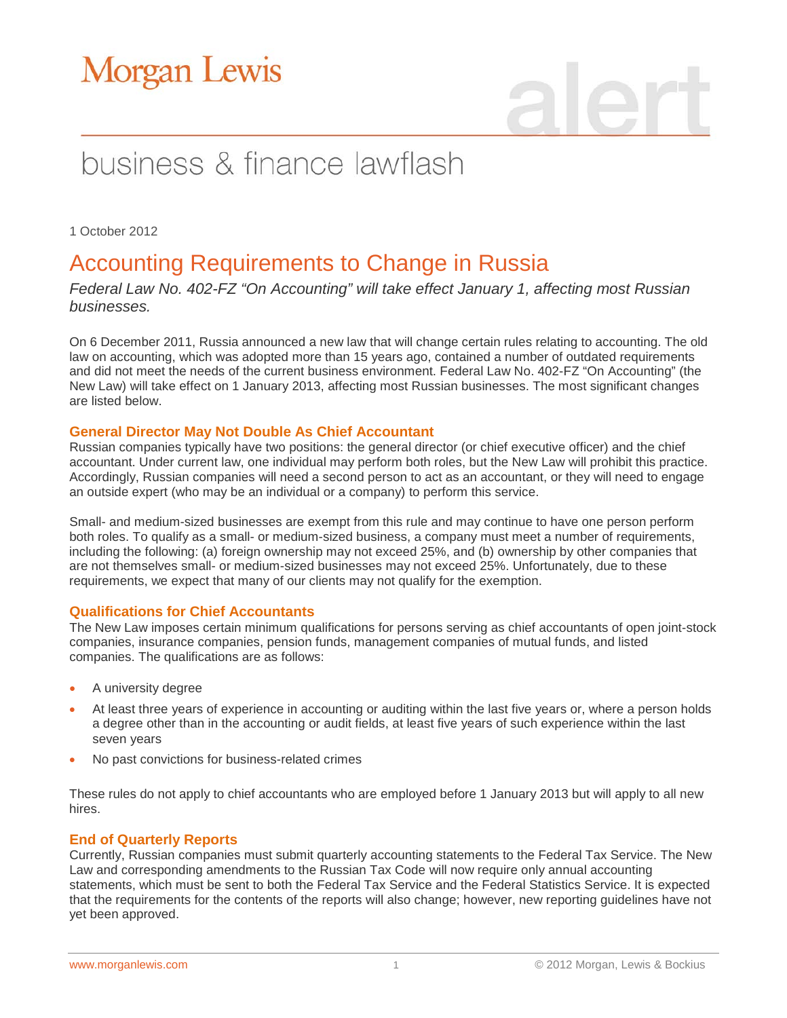# **Morgan Lewis**

# business & finance lawflash

1 October 2012

## Accounting Requirements to Change in Russia

*Federal Law No. 402-FZ "On Accounting" will take effect January 1, affecting most Russian businesses.* 

On 6 December 2011, Russia announced a new law that will change certain rules relating to accounting. The old law on accounting, which was adopted more than 15 years ago, contained a number of outdated requirements and did not meet the needs of the current business environment. Federal Law No. 402-FZ "On Accounting" (the New Law) will take effect on 1 January 2013, affecting most Russian businesses. The most significant changes are listed below.

### **General Director May Not Double As Chief Accountant**

Russian companies typically have two positions: the general director (or chief executive officer) and the chief accountant. Under current law, one individual may perform both roles, but the New Law will prohibit this practice. Accordingly, Russian companies will need a second person to act as an accountant, or they will need to engage an outside expert (who may be an individual or a company) to perform this service.

Small- and medium-sized businesses are exempt from this rule and may continue to have one person perform both roles. To qualify as a small- or medium-sized business, a company must meet a number of requirements, including the following: (a) foreign ownership may not exceed 25%, and (b) ownership by other companies that are not themselves small- or medium-sized businesses may not exceed 25%. Unfortunately, due to these requirements, we expect that many of our clients may not qualify for the exemption.

### **Qualifications for Chief Accountants**

The New Law imposes certain minimum qualifications for persons serving as chief accountants of open joint-stock companies, insurance companies, pension funds, management companies of mutual funds, and listed companies. The qualifications are as follows:

- A university degree
- At least three years of experience in accounting or auditing within the last five years or, where a person holds a degree other than in the accounting or audit fields, at least five years of such experience within the last seven years
- No past convictions for business-related crimes

These rules do not apply to chief accountants who are employed before 1 January 2013 but will apply to all new hires.

### **End of Quarterly Reports**

Currently, Russian companies must submit quarterly accounting statements to the Federal Tax Service. The New Law and corresponding amendments to the Russian Tax Code will now require only annual accounting statements, which must be sent to both the Federal Tax Service and the Federal Statistics Service. It is expected that the requirements for the contents of the reports will also change; however, new reporting guidelines have not yet been approved.